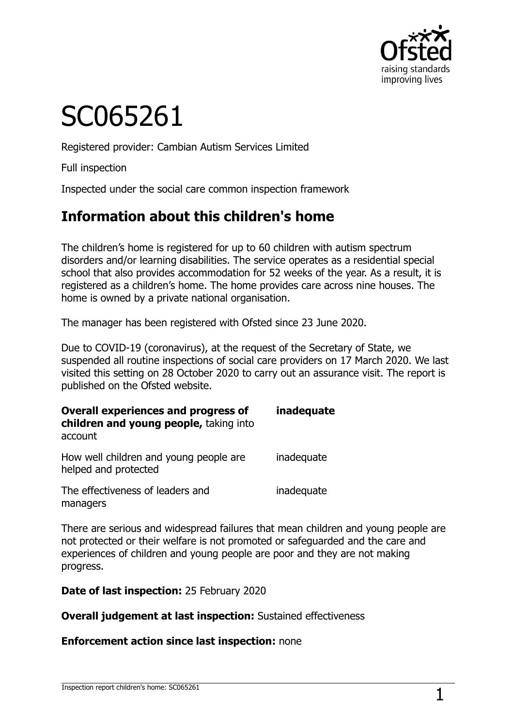

# SC065261

Registered provider: Cambian Autism Services Limited

Full inspection

Inspected under the social care common inspection framework

# **Information about this children's home**

The children's home is registered for up to 60 children with autism spectrum disorders and/or learning disabilities. The service operates as a residential special school that also provides accommodation for 52 weeks of the year. As a result, it is registered as a children's home. The home provides care across nine houses. The home is owned by a private national organisation.

The manager has been registered with Ofsted since 23 June 2020.

Due to COVID-19 (coronavirus), at the request of the Secretary of State, we suspended all routine inspections of social care providers on 17 March 2020. We last visited this setting on 28 October 2020 to carry out an assurance visit. The report is published on the Ofsted website.

| <b>Overall experiences and progress of</b><br>children and young people, taking into<br>account | inadequate |
|-------------------------------------------------------------------------------------------------|------------|
| How well children and young people are<br>helped and protected                                  | inadequate |
| The effectiveness of leaders and<br>managers                                                    | inadequate |

There are serious and widespread failures that mean children and young people are not protected or their welfare is not promoted or safeguarded and the care and experiences of children and young people are poor and they are not making progress.

**Date of last inspection:** 25 February 2020

**Overall judgement at last inspection:** Sustained effectiveness

#### **Enforcement action since last inspection:** none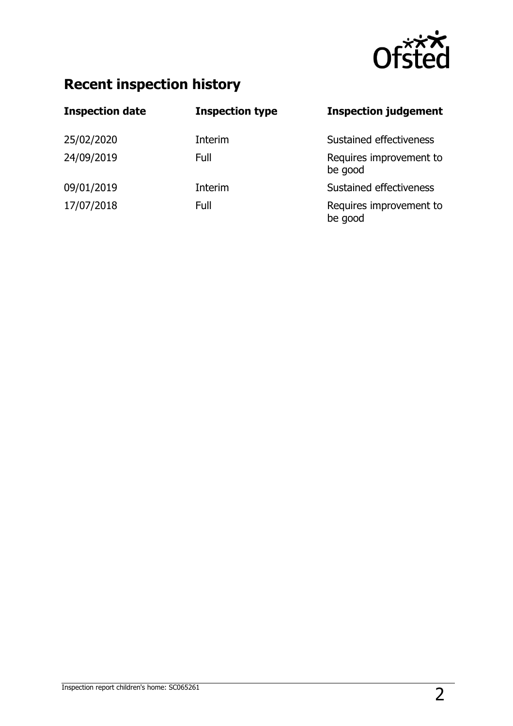

# **Recent inspection history**

| <b>Inspection date</b> | <b>Inspection type</b> | <b>Inspection judgement</b>        |
|------------------------|------------------------|------------------------------------|
| 25/02/2020             | Interim                | Sustained effectiveness            |
| 24/09/2019             | Full                   | Requires improvement to<br>be good |
| 09/01/2019             | Interim                | Sustained effectiveness            |
| 17/07/2018             | Full                   | Requires improvement to<br>be good |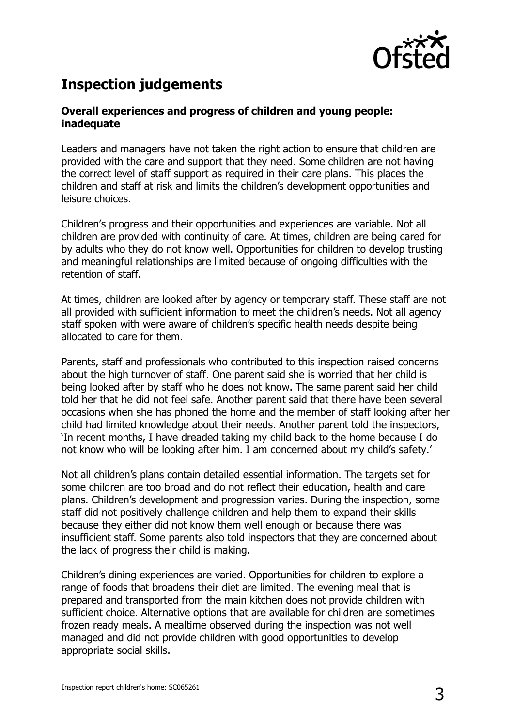

# **Inspection judgements**

#### **Overall experiences and progress of children and young people: inadequate**

Leaders and managers have not taken the right action to ensure that children are provided with the care and support that they need. Some children are not having the correct level of staff support as required in their care plans. This places the children and staff at risk and limits the children's development opportunities and leisure choices.

Children's progress and their opportunities and experiences are variable. Not all children are provided with continuity of care. At times, children are being cared for by adults who they do not know well. Opportunities for children to develop trusting and meaningful relationships are limited because of ongoing difficulties with the retention of staff.

At times, children are looked after by agency or temporary staff. These staff are not all provided with sufficient information to meet the children's needs. Not all agency staff spoken with were aware of children's specific health needs despite being allocated to care for them.

Parents, staff and professionals who contributed to this inspection raised concerns about the high turnover of staff. One parent said she is worried that her child is being looked after by staff who he does not know. The same parent said her child told her that he did not feel safe. Another parent said that there have been several occasions when she has phoned the home and the member of staff looking after her child had limited knowledge about their needs. Another parent told the inspectors, 'In recent months, I have dreaded taking my child back to the home because I do not know who will be looking after him. I am concerned about my child's safety.'

Not all children's plans contain detailed essential information. The targets set for some children are too broad and do not reflect their education, health and care plans. Children's development and progression varies. During the inspection, some staff did not positively challenge children and help them to expand their skills because they either did not know them well enough or because there was insufficient staff. Some parents also told inspectors that they are concerned about the lack of progress their child is making.

Children's dining experiences are varied. Opportunities for children to explore a range of foods that broadens their diet are limited. The evening meal that is prepared and transported from the main kitchen does not provide children with sufficient choice. Alternative options that are available for children are sometimes frozen ready meals. A mealtime observed during the inspection was not well managed and did not provide children with good opportunities to develop appropriate social skills.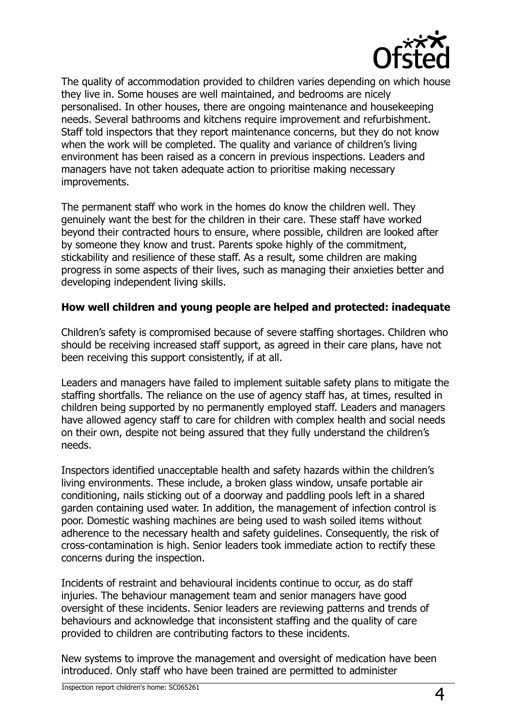

The quality of accommodation provided to children varies depending on which house they live in. Some houses are well maintained, and bedrooms are nicely personalised. In other houses, there are ongoing maintenance and housekeeping needs. Several bathrooms and kitchens require improvement and refurbishment. Staff told inspectors that they report maintenance concerns, but they do not know when the work will be completed. The quality and variance of children's living environment has been raised as a concern in previous inspections. Leaders and managers have not taken adequate action to prioritise making necessary improvements.

The permanent staff who work in the homes do know the children well. They genuinely want the best for the children in their care. These staff have worked beyond their contracted hours to ensure, where possible, children are looked after by someone they know and trust. Parents spoke highly of the commitment, stickability and resilience of these staff. As a result, some children are making progress in some aspects of their lives, such as managing their anxieties better and developing independent living skills.

#### **How well children and young people are helped and protected: inadequate**

Children's safety is compromised because of severe staffing shortages. Children who should be receiving increased staff support, as agreed in their care plans, have not been receiving this support consistently, if at all.

Leaders and managers have failed to implement suitable safety plans to mitigate the staffing shortfalls. The reliance on the use of agency staff has, at times, resulted in children being supported by no permanently employed staff. Leaders and managers have allowed agency staff to care for children with complex health and social needs on their own, despite not being assured that they fully understand the children's needs.

Inspectors identified unacceptable health and safety hazards within the children's living environments. These include, a broken glass window, unsafe portable air conditioning, nails sticking out of a doorway and paddling pools left in a shared garden containing used water. In addition, the management of infection control is poor. Domestic washing machines are being used to wash soiled items without adherence to the necessary health and safety guidelines. Consequently, the risk of cross-contamination is high. Senior leaders took immediate action to rectify these concerns during the inspection.

Incidents of restraint and behavioural incidents continue to occur, as do staff injuries. The behaviour management team and senior managers have good oversight of these incidents. Senior leaders are reviewing patterns and trends of behaviours and acknowledge that inconsistent staffing and the quality of care provided to children are contributing factors to these incidents.

New systems to improve the management and oversight of medication have been introduced. Only staff who have been trained are permitted to administer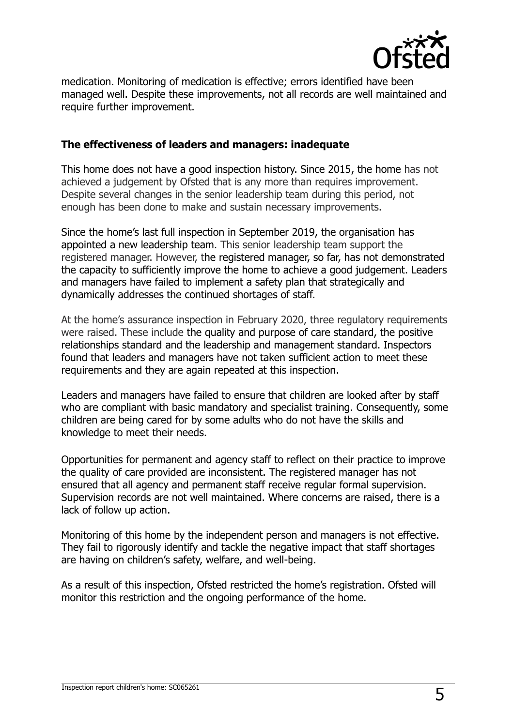

medication. Monitoring of medication is effective; errors identified have been managed well. Despite these improvements, not all records are well maintained and require further improvement.

#### **The effectiveness of leaders and managers: inadequate**

This home does not have a good inspection history. Since 2015, the home has not achieved a judgement by Ofsted that is any more than requires improvement. Despite several changes in the senior leadership team during this period, not enough has been done to make and sustain necessary improvements.

Since the home's last full inspection in September 2019, the organisation has appointed a new leadership team. This senior leadership team support the registered manager. However, the registered manager, so far, has not demonstrated the capacity to sufficiently improve the home to achieve a good judgement. Leaders and managers have failed to implement a safety plan that strategically and dynamically addresses the continued shortages of staff.

At the home's assurance inspection in February 2020, three regulatory requirements were raised. These include the quality and purpose of care standard, the positive relationships standard and the leadership and management standard. Inspectors found that leaders and managers have not taken sufficient action to meet these requirements and they are again repeated at this inspection.

Leaders and managers have failed to ensure that children are looked after by staff who are compliant with basic mandatory and specialist training. Consequently, some children are being cared for by some adults who do not have the skills and knowledge to meet their needs.

Opportunities for permanent and agency staff to reflect on their practice to improve the quality of care provided are inconsistent. The registered manager has not ensured that all agency and permanent staff receive regular formal supervision. Supervision records are not well maintained. Where concerns are raised, there is a lack of follow up action.

Monitoring of this home by the independent person and managers is not effective. They fail to rigorously identify and tackle the negative impact that staff shortages are having on children's safety, welfare, and well-being.

As a result of this inspection, Ofsted restricted the home's registration. Ofsted will monitor this restriction and the ongoing performance of the home.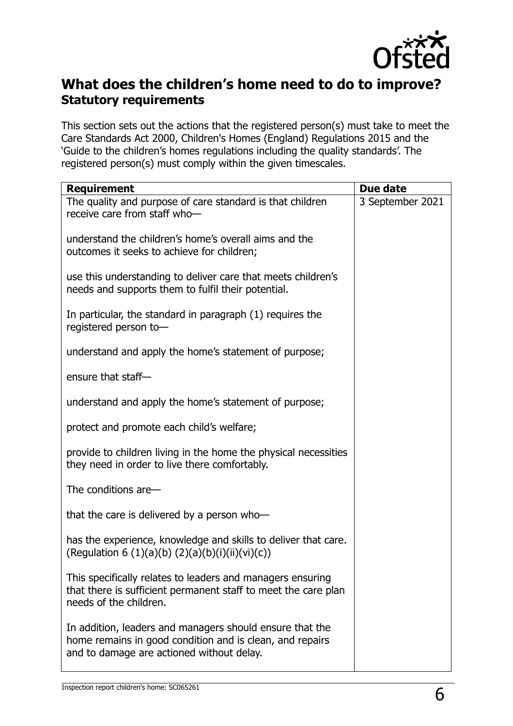

### **What does the children's home need to do to improve? Statutory requirements**

This section sets out the actions that the registered person(s) must take to meet the Care Standards Act 2000, Children's Homes (England) Regulations 2015 and the 'Guide to the children's homes regulations including the quality standards'. The registered person(s) must comply within the given timescales.

| <b>Requirement</b>                                                                                                                                                | Due date         |
|-------------------------------------------------------------------------------------------------------------------------------------------------------------------|------------------|
| The quality and purpose of care standard is that children<br>receive care from staff who-                                                                         | 3 September 2021 |
| understand the children's home's overall aims and the<br>outcomes it seeks to achieve for children;                                                               |                  |
| use this understanding to deliver care that meets children's<br>needs and supports them to fulfil their potential.                                                |                  |
| In particular, the standard in paragraph (1) requires the<br>registered person to-                                                                                |                  |
| understand and apply the home's statement of purpose;                                                                                                             |                  |
| ensure that staff-                                                                                                                                                |                  |
| understand and apply the home's statement of purpose;                                                                                                             |                  |
| protect and promote each child's welfare;                                                                                                                         |                  |
| provide to children living in the home the physical necessities<br>they need in order to live there comfortably.                                                  |                  |
| The conditions are-                                                                                                                                               |                  |
| that the care is delivered by a person who-                                                                                                                       |                  |
| has the experience, knowledge and skills to deliver that care.<br>(Regulation 6 (1)(a)(b) (2)(a)(b)(i)(ii)(vi)(c))                                                |                  |
| This specifically relates to leaders and managers ensuring<br>that there is sufficient permanent staff to meet the care plan<br>needs of the children.            |                  |
| In addition, leaders and managers should ensure that the<br>home remains in good condition and is clean, and repairs<br>and to damage are actioned without delay. |                  |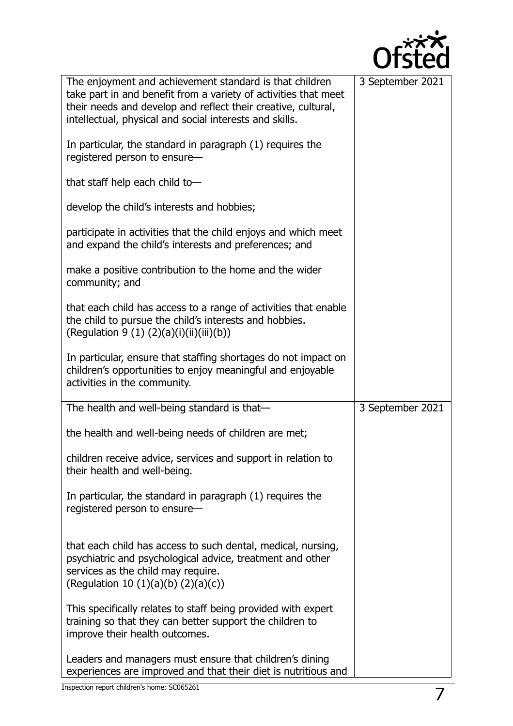

| The enjoyment and achievement standard is that children<br>take part in and benefit from a variety of activities that meet<br>their needs and develop and reflect their creative, cultural,<br>intellectual, physical and social interests and skills. | 3 September 2021 |
|--------------------------------------------------------------------------------------------------------------------------------------------------------------------------------------------------------------------------------------------------------|------------------|
| In particular, the standard in paragraph (1) requires the<br>registered person to ensure-                                                                                                                                                              |                  |
| that staff help each child to-                                                                                                                                                                                                                         |                  |
| develop the child's interests and hobbies;                                                                                                                                                                                                             |                  |
| participate in activities that the child enjoys and which meet<br>and expand the child's interests and preferences; and                                                                                                                                |                  |
| make a positive contribution to the home and the wider<br>community; and                                                                                                                                                                               |                  |
| that each child has access to a range of activities that enable<br>the child to pursue the child's interests and hobbies.<br>(Regulation 9 (1) $(2)(a)(i)(ii)(iii)(b))$                                                                                |                  |
| In particular, ensure that staffing shortages do not impact on<br>children's opportunities to enjoy meaningful and enjoyable<br>activities in the community.                                                                                           |                  |
| The health and well-being standard is that-                                                                                                                                                                                                            | 3 September 2021 |
| the health and well-being needs of children are met;                                                                                                                                                                                                   |                  |
| children receive advice, services and support in relation to<br>their health and well-being.                                                                                                                                                           |                  |
| In particular, the standard in paragraph (1) requires the<br>registered person to ensure-                                                                                                                                                              |                  |
| that each child has access to such dental, medical, nursing,<br>psychiatric and psychological advice, treatment and other<br>services as the child may require.<br>(Regulation 10 $(1)(a)(b)$ $(2)(a)(c)$ )                                            |                  |
| This specifically relates to staff being provided with expert<br>training so that they can better support the children to<br>improve their health outcomes.                                                                                            |                  |
| Leaders and managers must ensure that children's dining<br>experiences are improved and that their diet is nutritious and                                                                                                                              |                  |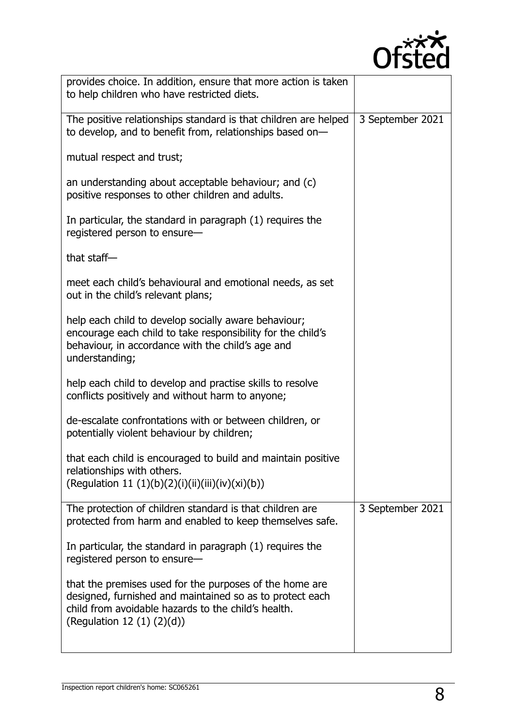

| provides choice. In addition, ensure that more action is taken<br>to help children who have restricted diets.                                                                                                 |                  |
|---------------------------------------------------------------------------------------------------------------------------------------------------------------------------------------------------------------|------------------|
| The positive relationships standard is that children are helped<br>to develop, and to benefit from, relationships based on-                                                                                   | 3 September 2021 |
| mutual respect and trust;                                                                                                                                                                                     |                  |
| an understanding about acceptable behaviour; and (c)<br>positive responses to other children and adults.                                                                                                      |                  |
| In particular, the standard in paragraph (1) requires the<br>registered person to ensure-                                                                                                                     |                  |
| that staff $-$                                                                                                                                                                                                |                  |
| meet each child's behavioural and emotional needs, as set<br>out in the child's relevant plans;                                                                                                               |                  |
| help each child to develop socially aware behaviour;<br>encourage each child to take responsibility for the child's<br>behaviour, in accordance with the child's age and<br>understanding;                    |                  |
| help each child to develop and practise skills to resolve<br>conflicts positively and without harm to anyone;                                                                                                 |                  |
| de-escalate confrontations with or between children, or<br>potentially violent behaviour by children;                                                                                                         |                  |
| that each child is encouraged to build and maintain positive<br>relationships with others.<br>(Regulation 11 (1)(b)(2)(i)(ii)(iii)(iv)(xi)(b))                                                                |                  |
| The protection of children standard is that children are<br>protected from harm and enabled to keep themselves safe.                                                                                          | 3 September 2021 |
| In particular, the standard in paragraph (1) requires the<br>registered person to ensure-                                                                                                                     |                  |
| that the premises used for the purposes of the home are<br>designed, furnished and maintained so as to protect each<br>child from avoidable hazards to the child's health.<br>(Regulation 12 $(1)$ $(2)(d)$ ) |                  |
|                                                                                                                                                                                                               |                  |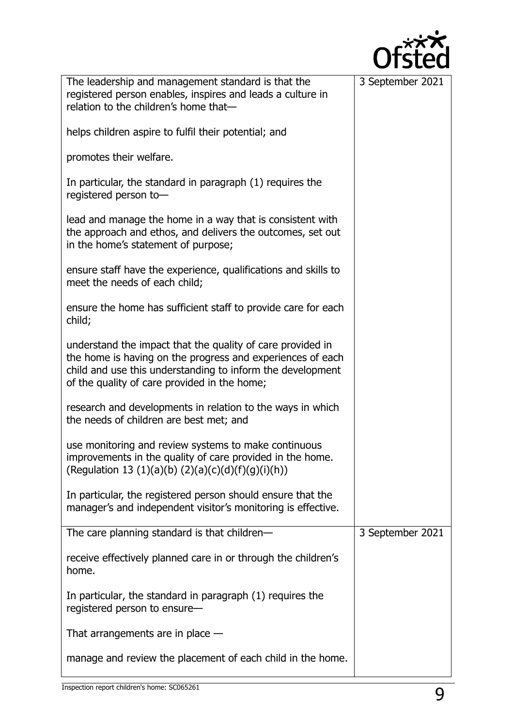

| The leadership and management standard is that the<br>registered person enables, inspires and leads a culture in<br>relation to the children's home that-                                                                              | 3 September 2021 |
|----------------------------------------------------------------------------------------------------------------------------------------------------------------------------------------------------------------------------------------|------------------|
| helps children aspire to fulfil their potential; and                                                                                                                                                                                   |                  |
| promotes their welfare.                                                                                                                                                                                                                |                  |
| In particular, the standard in paragraph (1) requires the<br>registered person to-                                                                                                                                                     |                  |
| lead and manage the home in a way that is consistent with<br>the approach and ethos, and delivers the outcomes, set out<br>in the home's statement of purpose;                                                                         |                  |
| ensure staff have the experience, qualifications and skills to<br>meet the needs of each child;                                                                                                                                        |                  |
| ensure the home has sufficient staff to provide care for each<br>child;                                                                                                                                                                |                  |
| understand the impact that the quality of care provided in<br>the home is having on the progress and experiences of each<br>child and use this understanding to inform the development<br>of the quality of care provided in the home; |                  |
| research and developments in relation to the ways in which<br>the needs of children are best met; and                                                                                                                                  |                  |
| use monitoring and review systems to make continuous<br>improvements in the quality of care provided in the home.<br>(Regulation 13 (1)(a)(b) (2)(a)(c)(d)(f)(g)(i)(h))                                                                |                  |
| In particular, the registered person should ensure that the<br>manager's and independent visitor's monitoring is effective.                                                                                                            |                  |
| The care planning standard is that children-                                                                                                                                                                                           | 3 September 2021 |
| receive effectively planned care in or through the children's<br>home.                                                                                                                                                                 |                  |
| In particular, the standard in paragraph (1) requires the<br>registered person to ensure-                                                                                                                                              |                  |
| That arrangements are in place $-$                                                                                                                                                                                                     |                  |
| manage and review the placement of each child in the home.                                                                                                                                                                             |                  |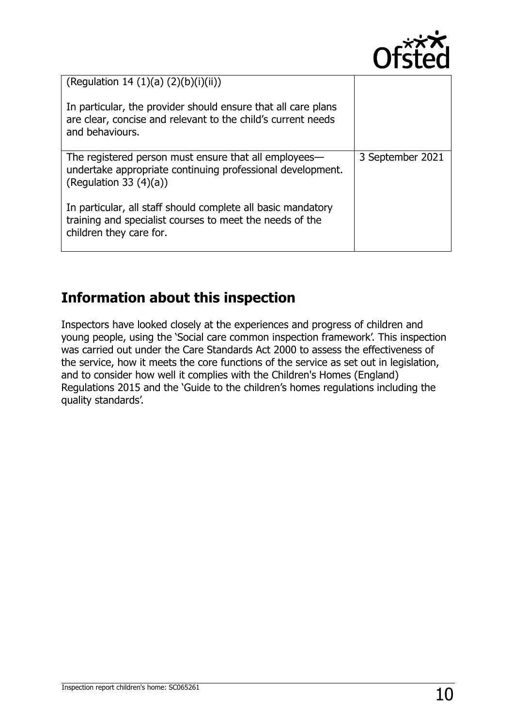

| (Regulation 14 (1)(a) $(2)(b)(i)(ii)$ )<br>In particular, the provider should ensure that all care plans<br>are clear, concise and relevant to the child's current needs<br>and behaviours. |                  |
|---------------------------------------------------------------------------------------------------------------------------------------------------------------------------------------------|------------------|
| The registered person must ensure that all employees—<br>undertake appropriate continuing professional development.<br>(Regulation 33 $(4)(a)$ )                                            | 3 September 2021 |
| In particular, all staff should complete all basic mandatory<br>training and specialist courses to meet the needs of the<br>children they care for.                                         |                  |

# **Information about this inspection**

Inspectors have looked closely at the experiences and progress of children and young people, using the 'Social care common inspection framework'. This inspection was carried out under the Care Standards Act 2000 to assess the effectiveness of the service, how it meets the core functions of the service as set out in legislation, and to consider how well it complies with the Children's Homes (England) Regulations 2015 and the 'Guide to the children's homes regulations including the quality standards'.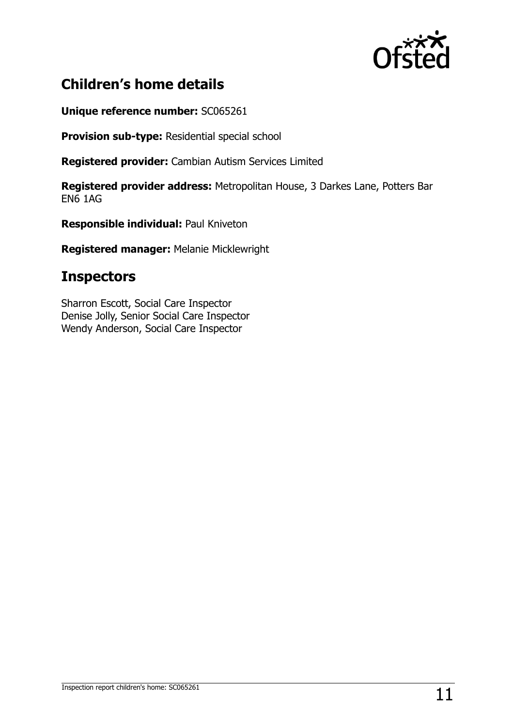

# **Children's home details**

**Unique reference number:** SC065261

**Provision sub-type:** Residential special school

**Registered provider:** Cambian Autism Services Limited

**Registered provider address:** Metropolitan House, 3 Darkes Lane, Potters Bar EN6 1AG

**Responsible individual:** Paul Kniveton

**Registered manager:** Melanie Micklewright

## **Inspectors**

Sharron Escott, Social Care Inspector Denise Jolly, Senior Social Care Inspector Wendy Anderson, Social Care Inspector